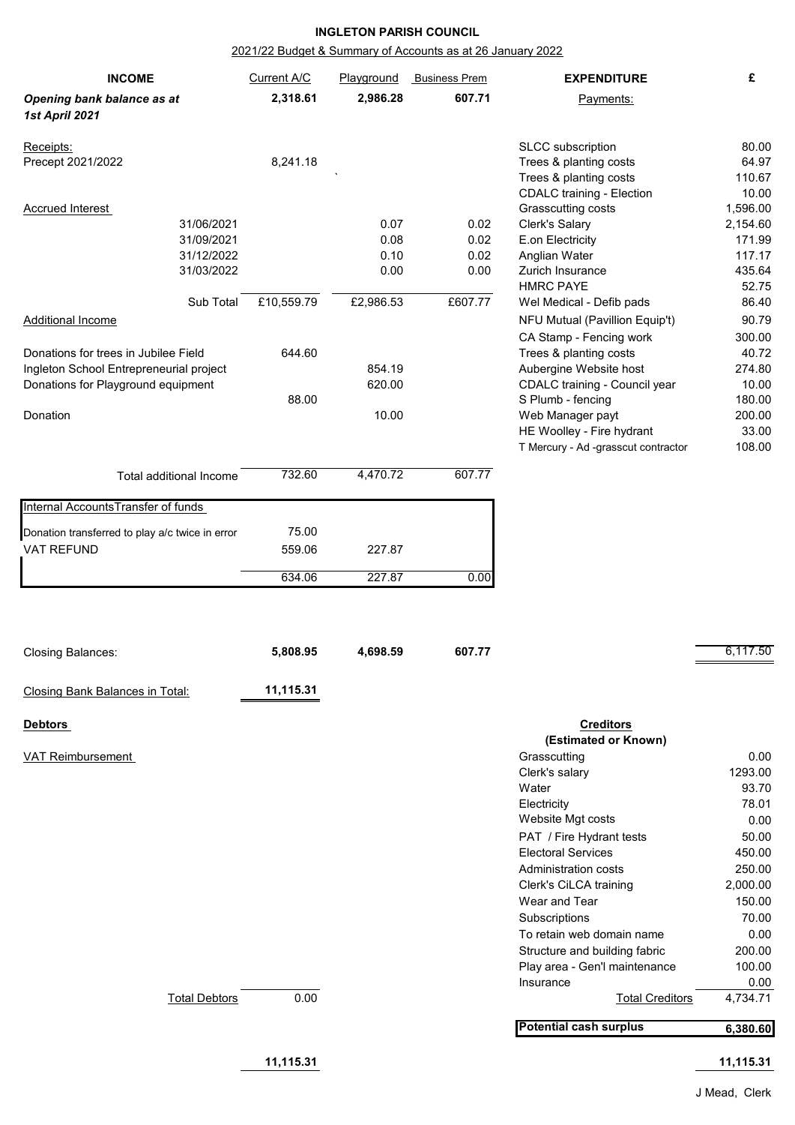## **INGLETON PARISH COUNCIL**

## 2021/22 Budget & Summary of Accounts as at 26 January 2022

| <b>INCOME</b>                                   | Current A/C | Playground | <b>Business Prem</b> | <b>EXPENDITURE</b>                  | £         |
|-------------------------------------------------|-------------|------------|----------------------|-------------------------------------|-----------|
| Opening bank balance as at                      | 2,318.61    | 2,986.28   | 607.71               | Payments:                           |           |
| 1st April 2021                                  |             |            |                      |                                     |           |
| Receipts:                                       |             |            |                      | SLCC subscription                   | 80.00     |
| Precept 2021/2022                               | 8,241.18    |            |                      | Trees & planting costs              | 64.97     |
|                                                 |             |            |                      | Trees & planting costs              | 110.67    |
|                                                 |             |            |                      | <b>CDALC</b> training - Election    | 10.00     |
| <b>Accrued Interest</b>                         |             |            |                      | Grasscutting costs                  | 1,596.00  |
| 31/06/2021                                      |             | 0.07       | 0.02                 | Clerk's Salary                      | 2,154.60  |
| 31/09/2021                                      |             | 0.08       | 0.02                 | E.on Electricity                    | 171.99    |
| 31/12/2022                                      |             | 0.10       | 0.02                 | Anglian Water                       | 117.17    |
| 31/03/2022                                      |             | 0.00       | 0.00                 | Zurich Insurance                    | 435.64    |
|                                                 |             |            |                      | <b>HMRC PAYE</b>                    | 52.75     |
| Sub Total                                       | £10,559.79  | £2,986.53  | £607.77              | Wel Medical - Defib pads            | 86.40     |
| <b>Additional Income</b>                        |             |            |                      | NFU Mutual (Pavillion Equip't)      | 90.79     |
|                                                 |             |            |                      | CA Stamp - Fencing work             | 300.00    |
| Donations for trees in Jubilee Field            | 644.60      |            |                      | Trees & planting costs              | 40.72     |
| Ingleton School Entrepreneurial project         |             | 854.19     |                      | Aubergine Website host              | 274.80    |
| Donations for Playground equipment              |             | 620.00     |                      | CDALC training - Council year       | 10.00     |
|                                                 | 88.00       |            |                      | S Plumb - fencing                   | 180.00    |
| Donation                                        |             | 10.00      |                      | Web Manager payt                    | 200.00    |
|                                                 |             |            |                      | HE Woolley - Fire hydrant           | 33.00     |
|                                                 |             |            |                      | T Mercury - Ad -grasscut contractor | 108.00    |
|                                                 |             |            |                      |                                     |           |
| Total additional Income                         | 732.60      | 4,470.72   | 607.77               |                                     |           |
| Internal Accounts Transfer of funds             |             |            |                      |                                     |           |
| Donation transferred to play a/c twice in error | 75.00       |            |                      |                                     |           |
| VAT REFUND                                      | 559.06      | 227.87     |                      |                                     |           |
|                                                 |             |            |                      |                                     |           |
|                                                 | 634.06      | 227.87     | 0.00                 |                                     |           |
|                                                 |             |            |                      |                                     |           |
| <b>Closing Balances:</b>                        | 5,808.95    | 4,698.59   | 607.77               |                                     | 6,117.50  |
|                                                 | 11,115.31   |            |                      |                                     |           |
| Closing Bank Balances in Total:                 |             |            |                      |                                     |           |
| <b>Debtors</b>                                  |             |            |                      | <b>Creditors</b>                    |           |
|                                                 |             |            |                      | (Estimated or Known)                |           |
| <b>VAT Reimbursement</b>                        |             |            |                      | Grasscutting                        | 0.00      |
|                                                 |             |            |                      | Clerk's salary                      | 1293.00   |
|                                                 |             |            |                      | Water                               | 93.70     |
|                                                 |             |            |                      | Electricity                         | 78.01     |
|                                                 |             |            |                      | Website Mgt costs                   | 0.00      |
|                                                 |             |            |                      | PAT / Fire Hydrant tests            | 50.00     |
|                                                 |             |            |                      | <b>Electoral Services</b>           | 450.00    |
|                                                 |             |            |                      | Administration costs                | 250.00    |
|                                                 |             |            |                      | Clerk's CiLCA training              | 2,000.00  |
|                                                 |             |            |                      | Wear and Tear                       | 150.00    |
|                                                 |             |            |                      | Subscriptions                       | 70.00     |
|                                                 |             |            |                      | To retain web domain name           | 0.00      |
|                                                 |             |            |                      | Structure and building fabric       | 200.00    |
|                                                 |             |            |                      | Play area - Gen'l maintenance       | 100.00    |
|                                                 |             |            |                      | Insurance                           | 0.00      |
| <b>Total Debtors</b>                            | 0.00        |            |                      | <b>Total Creditors</b>              | 4,734.71  |
|                                                 |             |            |                      | <b>Potential cash surplus</b>       | 6,380.60  |
|                                                 | 11,115.31   |            |                      |                                     | 11,115.31 |
|                                                 |             |            |                      |                                     |           |

J Mead, Clerk